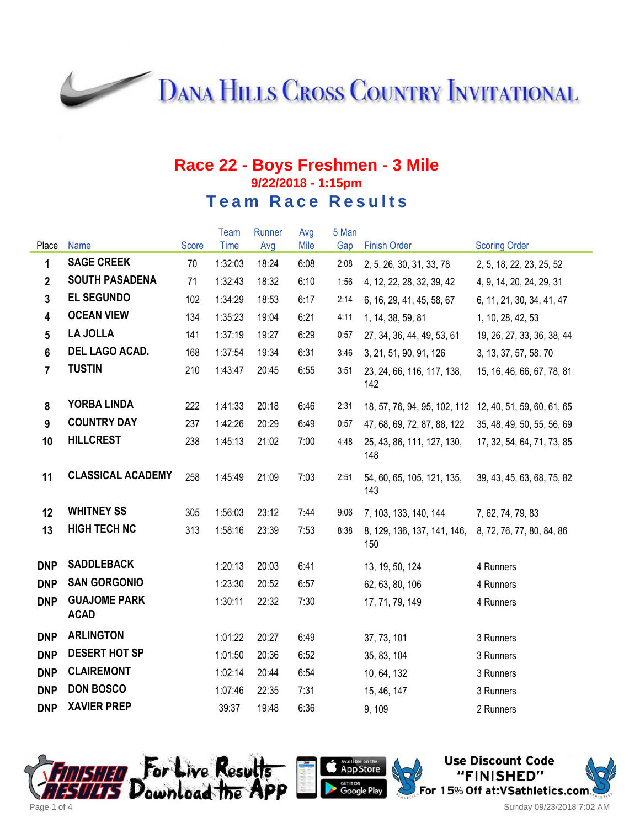**DANA HILLS CROSS COUNTRY INVITATIONAL** 

## **Race 22 - Boys Freshmen - 3 Mile 9/22/2018 - 1:15pm Team Race Results**

|                         |                                    |       | Team    | Runner | Avg  | 5 Man |                                                         |                            |
|-------------------------|------------------------------------|-------|---------|--------|------|-------|---------------------------------------------------------|----------------------------|
| Place                   | Name                               | Score | Time    | Avg    | Mile | Gap   | <b>Finish Order</b>                                     | <b>Scoring Order</b>       |
| $\mathbf{1}$            | <b>SAGE CREEK</b>                  | 70    | 1:32:03 | 18:24  | 6:08 | 2:08  | 2, 5, 26, 30, 31, 33, 78                                | 2, 5, 18, 22, 23, 25, 52   |
| $\overline{2}$          | <b>SOUTH PASADENA</b>              | 71    | 1:32:43 | 18:32  | 6:10 | 1:56  | 4, 12, 22, 28, 32, 39, 42                               | 4, 9, 14, 20, 24, 29, 31   |
| $\overline{3}$          | <b>EL SEGUNDO</b>                  | 102   | 1:34:29 | 18:53  | 6:17 | 2:14  | 6, 16, 29, 41, 45, 58, 67                               | 6, 11, 21, 30, 34, 41, 47  |
| $\overline{\mathbf{4}}$ | <b>OCEAN VIEW</b>                  | 134   | 1:35:23 | 19:04  | 6:21 | 4:11  | 1, 14, 38, 59, 81                                       | 1, 10, 28, 42, 53          |
| $5\phantom{.0}$         | <b>LA JOLLA</b>                    | 141   | 1:37:19 | 19:27  | 6:29 | 0:57  | 27, 34, 36, 44, 49, 53, 61                              | 19, 26, 27, 33, 36, 38, 44 |
| $6\phantom{a}$          | DEL LAGO ACAD.                     | 168   | 1:37:54 | 19:34  | 6:31 | 3:46  | 3, 21, 51, 90, 91, 126                                  | 3, 13, 37, 57, 58, 70      |
| $\overline{7}$          | <b>TUSTIN</b>                      | 210   | 1:43:47 | 20:45  | 6:55 | 3:51  | 23, 24, 66, 116, 117, 138,<br>142                       | 15, 16, 46, 66, 67, 78, 81 |
| 8                       | <b>YORBA LINDA</b>                 | 222   | 1:41:33 | 20:18  | 6:46 | 2:31  | 18, 57, 76, 94, 95, 102, 112 12, 40, 51, 59, 60, 61, 65 |                            |
| $\overline{9}$          | <b>COUNTRY DAY</b>                 | 237   | 1:42:26 | 20:29  | 6:49 | 0:57  | 47, 68, 69, 72, 87, 88, 122                             | 35, 48, 49, 50, 55, 56, 69 |
| 10                      | <b>HILLCREST</b>                   | 238   | 1:45:13 | 21:02  | 7:00 | 4:48  | 25, 43, 86, 111, 127, 130,<br>148                       | 17, 32, 54, 64, 71, 73, 85 |
| 11                      | <b>CLASSICAL ACADEMY</b>           | 258   | 1:45:49 | 21:09  | 7:03 | 2:51  | 54, 60, 65, 105, 121, 135,<br>143                       | 39, 43, 45, 63, 68, 75, 82 |
| 12                      | <b>WHITNEY SS</b>                  | 305   | 1:56:03 | 23:12  | 7:44 | 9:06  | 7, 103, 133, 140, 144                                   | 7, 62, 74, 79, 83          |
| 13                      | <b>HIGH TECH NC</b>                | 313   | 1:58:16 | 23:39  | 7:53 | 8:38  | 8, 129, 136, 137, 141, 146,<br>150                      | 8, 72, 76, 77, 80, 84, 86  |
| <b>DNP</b>              | <b>SADDLEBACK</b>                  |       | 1:20:13 | 20:03  | 6:41 |       | 13, 19, 50, 124                                         | 4 Runners                  |
| <b>DNP</b>              | <b>SAN GORGONIO</b>                |       | 1:23:30 | 20:52  | 6:57 |       | 62, 63, 80, 106                                         | 4 Runners                  |
| <b>DNP</b>              | <b>GUAJOME PARK</b><br><b>ACAD</b> |       | 1:30:11 | 22:32  | 7:30 |       | 17, 71, 79, 149                                         | 4 Runners                  |
| <b>DNP</b>              | <b>ARLINGTON</b>                   |       | 1:01:22 | 20:27  | 6:49 |       | 37, 73, 101                                             | 3 Runners                  |
| <b>DNP</b>              | <b>DESERT HOT SP</b>               |       | 1:01:50 | 20:36  | 6:52 |       | 35, 83, 104                                             | 3 Runners                  |
| <b>DNP</b>              | <b>CLAIREMONT</b>                  |       | 1:02:14 | 20:44  | 6:54 |       | 10, 64, 132                                             | 3 Runners                  |
| <b>DNP</b>              | <b>DON BOSCO</b>                   |       | 1:07:46 | 22:35  | 7:31 |       | 15, 46, 147                                             | 3 Runners                  |
| <b>DNP</b>              | <b>XAVIER PREP</b>                 |       | 39:37   | 19:48  | 6:36 |       | 9, 109                                                  | 2 Runners                  |

App Store



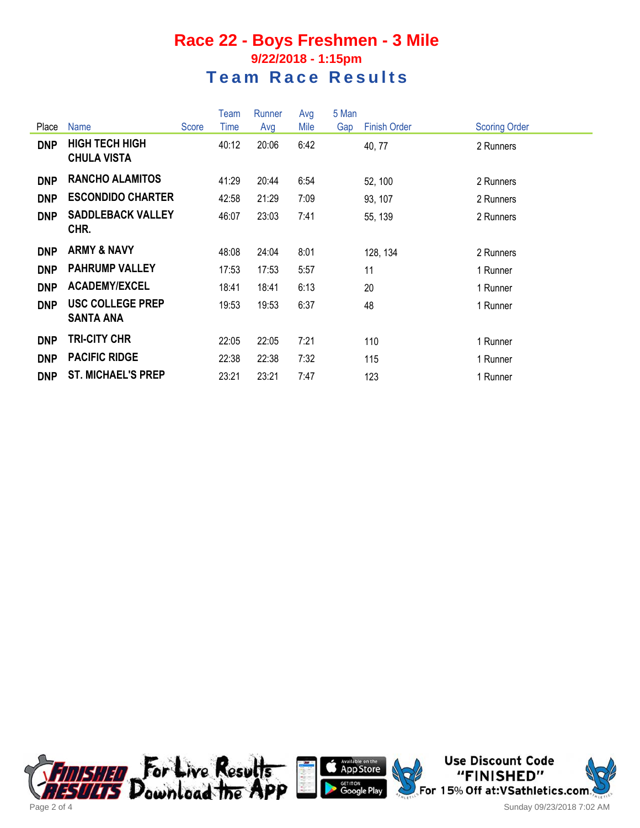## **Race 22 - Boys Freshmen - 3 Mile 9/22/2018 - 1:15pm Team Race Results**

|            |                                             |       | Team  | Runner | Avg  | 5 Man |                     |                      |
|------------|---------------------------------------------|-------|-------|--------|------|-------|---------------------|----------------------|
| Place      | <b>Name</b>                                 | Score | Time  | Avg    | Mile | Gap   | <b>Finish Order</b> | <b>Scoring Order</b> |
| <b>DNP</b> | <b>HIGH TECH HIGH</b><br><b>CHULA VISTA</b> |       | 40:12 | 20:06  | 6:42 |       | 40, 77              | 2 Runners            |
| <b>DNP</b> | <b>RANCHO ALAMITOS</b>                      |       | 41:29 | 20:44  | 6:54 |       | 52, 100             | 2 Runners            |
| <b>DNP</b> | <b>ESCONDIDO CHARTER</b>                    |       | 42:58 | 21:29  | 7:09 |       | 93, 107             | 2 Runners            |
| <b>DNP</b> | <b>SADDLEBACK VALLEY</b><br>CHR.            |       | 46:07 | 23:03  | 7:41 |       | 55, 139             | 2 Runners            |
| <b>DNP</b> | <b>ARMY &amp; NAVY</b>                      |       | 48:08 | 24:04  | 8:01 |       | 128, 134            | 2 Runners            |
| <b>DNP</b> | <b>PAHRUMP VALLEY</b>                       |       | 17:53 | 17:53  | 5:57 |       | 11                  | 1 Runner             |
| <b>DNP</b> | <b>ACADEMY/EXCEL</b>                        |       | 18:41 | 18:41  | 6:13 |       | 20                  | 1 Runner             |
| <b>DNP</b> | <b>USC COLLEGE PREP</b><br><b>SANTA ANA</b> |       | 19:53 | 19:53  | 6:37 |       | 48                  | 1 Runner             |
| <b>DNP</b> | <b>TRI-CITY CHR</b>                         |       | 22:05 | 22:05  | 7:21 |       | 110                 | 1 Runner             |
| <b>DNP</b> | <b>PACIFIC RIDGE</b>                        |       | 22:38 | 22:38  | 7:32 |       | 115                 | 1 Runner             |
| <b>DNP</b> | <b>ST. MICHAEL'S PREP</b>                   |       | 23:21 | 23:21  | 7:47 |       | 123                 | 1 Runner             |





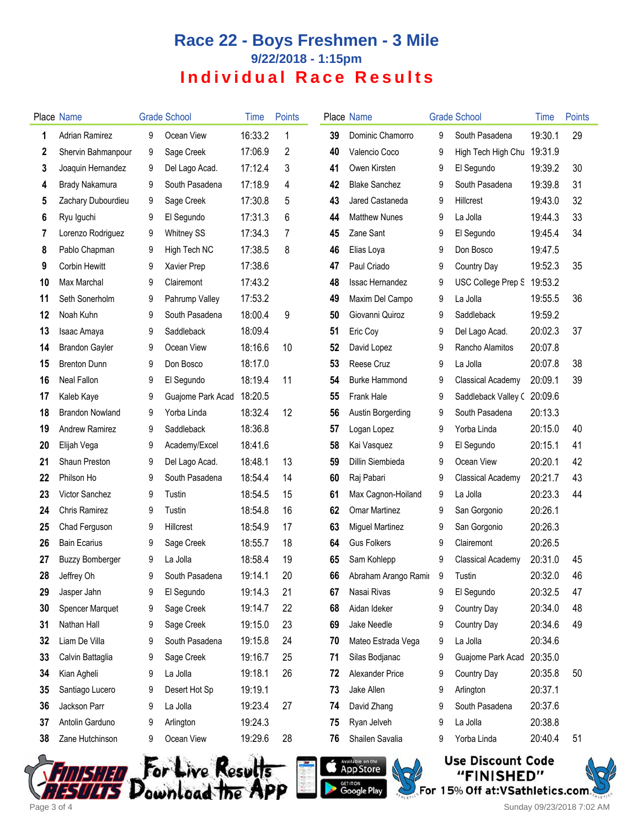## **Race 22 - Boys Freshmen - 3 Mile 9/22/2018 - 1:15pm Individual Race Results**

|    | Place Name             |   | <b>Grade School</b> | Time    | <b>Points</b> |    | <b>Place Name</b>      |   | <b>Grade School</b>        | <b>Time</b> | Points |
|----|------------------------|---|---------------------|---------|---------------|----|------------------------|---|----------------------------|-------------|--------|
| 1  | <b>Adrian Ramirez</b>  | 9 | Ocean View          | 16:33.2 | 1             | 39 | Dominic Chamorro       | 9 | South Pasadena             | 19:30.1     | 29     |
| 2  | Shervin Bahmanpour     | 9 | Sage Creek          | 17:06.9 | 2             | 40 | Valencio Coco          | 9 | High Tech High Chu         | 19:31.9     |        |
| 3  | Joaquin Hernandez      | 9 | Del Lago Acad.      | 17:12.4 | 3             | 41 | Owen Kirsten           | 9 | El Segundo                 | 19:39.2     | 30     |
| 4  | Brady Nakamura         | 9 | South Pasadena      | 17:18.9 | 4             | 42 | <b>Blake Sanchez</b>   | 9 | South Pasadena             | 19:39.8     | 31     |
| 5  | Zachary Dubourdieu     | 9 | Sage Creek          | 17:30.8 | 5             | 43 | Jared Castaneda        | 9 | Hillcrest                  | 19:43.0     | 32     |
| 6  | Ryu Iguchi             | 9 | El Segundo          | 17:31.3 | 6             | 44 | <b>Matthew Nunes</b>   | 9 | La Jolla                   | 19:44.3     | 33     |
| 7  | Lorenzo Rodriguez      | 9 | <b>Whitney SS</b>   | 17:34.3 | 7             | 45 | Zane Sant              | 9 | El Segundo                 | 19:45.4     | 34     |
| 8  | Pablo Chapman          | 9 | High Tech NC        | 17:38.5 | 8             | 46 | Elias Loya             | 9 | Don Bosco                  | 19:47.5     |        |
| 9  | <b>Corbin Hewitt</b>   | 9 | Xavier Prep         | 17:38.6 |               | 47 | Paul Criado            | 9 | Country Day                | 19:52.3     | 35     |
| 10 | Max Marchal            | 9 | Clairemont          | 17:43.2 |               | 48 | <b>Issac Hernandez</b> | 9 | USC College Prep S         | 19:53.2     |        |
| 11 | Seth Sonerholm         | 9 | Pahrump Valley      | 17:53.2 |               | 49 | Maxim Del Campo        | 9 | La Jolla                   | 19:55.5     | 36     |
| 12 | Noah Kuhn              | 9 | South Pasadena      | 18:00.4 | 9             | 50 | Giovanni Quiroz        | 9 | Saddleback                 | 19:59.2     |        |
| 13 | Isaac Amaya            | 9 | Saddleback          | 18:09.4 |               | 51 | Eric Coy               | 9 | Del Lago Acad.             | 20:02.3     | 37     |
| 14 | <b>Brandon Gayler</b>  | 9 | Ocean View          | 18:16.6 | 10            | 52 | David Lopez            | 9 | Rancho Alamitos            | 20:07.8     |        |
| 15 | <b>Brenton Dunn</b>    | 9 | Don Bosco           | 18:17.0 |               | 53 | Reese Cruz             | 9 | La Jolla                   | 20:07.8     | 38     |
| 16 | Neal Fallon            | 9 | El Segundo          | 18:19.4 | 11            | 54 | <b>Burke Hammond</b>   | 9 | <b>Classical Academy</b>   | 20:09.1     | 39     |
| 17 | Kaleb Kaye             | 9 | Guajome Park Acad   | 18:20.5 |               | 55 | Frank Hale             | 9 | Saddleback Valley (20:09.6 |             |        |
| 18 | <b>Brandon Nowland</b> | 9 | Yorba Linda         | 18:32.4 | 12            | 56 | Austin Borgerding      | 9 | South Pasadena             | 20:13.3     |        |
| 19 | <b>Andrew Ramirez</b>  | 9 | Saddleback          | 18:36.8 |               | 57 | Logan Lopez            | 9 | Yorba Linda                | 20:15.0     | 40     |
| 20 | Elijah Vega            | 9 | Academy/Excel       | 18:41.6 |               | 58 | Kai Vasquez            | 9 | El Segundo                 | 20:15.1     | 41     |
| 21 | Shaun Preston          | 9 | Del Lago Acad.      | 18:48.1 | 13            | 59 | Dillin Siembieda       | 9 | Ocean View                 | 20:20.1     | 42     |
| 22 | Philson Ho             | 9 | South Pasadena      | 18:54.4 | 14            | 60 | Raj Pabari             | 9 | Classical Academy          | 20:21.7     | 43     |
| 23 | Victor Sanchez         | 9 | Tustin              | 18:54.5 | 15            | 61 | Max Cagnon-Hoiland     | 9 | La Jolla                   | 20:23.3     | 44     |
| 24 | Chris Ramirez          | 9 | Tustin              | 18:54.8 | 16            | 62 | <b>Omar Martinez</b>   | 9 | San Gorgonio               | 20:26.1     |        |
| 25 | Chad Ferguson          | 9 | <b>Hillcrest</b>    | 18:54.9 | 17            | 63 | <b>Miguel Martinez</b> | 9 | San Gorgonio               | 20:26.3     |        |
| 26 | <b>Bain Ecarius</b>    | 9 | Sage Creek          | 18:55.7 | 18            | 64 | <b>Gus Folkers</b>     | 9 | Clairemont                 | 20:26.5     |        |
| 27 | <b>Buzzy Bomberger</b> | 9 | La Jolla            | 18:58.4 | 19            | 65 | Sam Kohlepp            | 9 | Classical Academy          | 20:31.0     | 45     |
| 28 | Jeffrey Oh             | 9 | South Pasadena      | 19:14.1 | 20            | 66 | Abraham Arango Ramir   |   | 9 Tustin                   | 20:32.0     | 46     |
| 29 | Jasper Jahn            | 9 | El Segundo          | 19:14.3 | 21            | 67 | Nasai Rivas            | 9 | El Segundo                 | 20:32.5     | 47     |
| 30 | <b>Spencer Marquet</b> | 9 | Sage Creek          | 19:14.7 | 22            | 68 | Aidan Ideker           | 9 | Country Day                | 20:34.0     | 48     |
| 31 | Nathan Hall            | 9 | Sage Creek          | 19:15.0 | 23            | 69 | Jake Needle            | 9 | Country Day                | 20:34.6     | 49     |
| 32 | Liam De Villa          | 9 | South Pasadena      | 19:15.8 | 24            | 70 | Mateo Estrada Vega     | 9 | La Jolla                   | 20:34.6     |        |
| 33 | Calvin Battaglia       | 9 | Sage Creek          | 19:16.7 | 25            | 71 | Silas Bodjanac         | 9 | Guajome Park Acad          | 20:35.0     |        |
| 34 | Kian Agheli            | 9 | La Jolla            | 19:18.1 | 26            | 72 | Alexander Price        | 9 | Country Day                | 20:35.8     | 50     |
| 35 | Santiago Lucero        | 9 | Desert Hot Sp       | 19:19.1 |               | 73 | Jake Allen             | 9 | Arlington                  | 20:37.1     |        |
| 36 | Jackson Parr           | 9 | La Jolla            | 19:23.4 | 27            | 74 | David Zhang            | 9 | South Pasadena             | 20:37.6     |        |
| 37 | Antolin Garduno        | 9 | Arlington           | 19:24.3 |               | 75 | Ryan Jelveh            | 9 | La Jolla                   | 20:38.8     |        |
| 38 | Zane Hutchinson        | 9 | Ocean View          | 19:29.6 | 28            | 76 | Shailen Savalia        | 9 | Yorba Linda                | 20:40.4     | 51     |